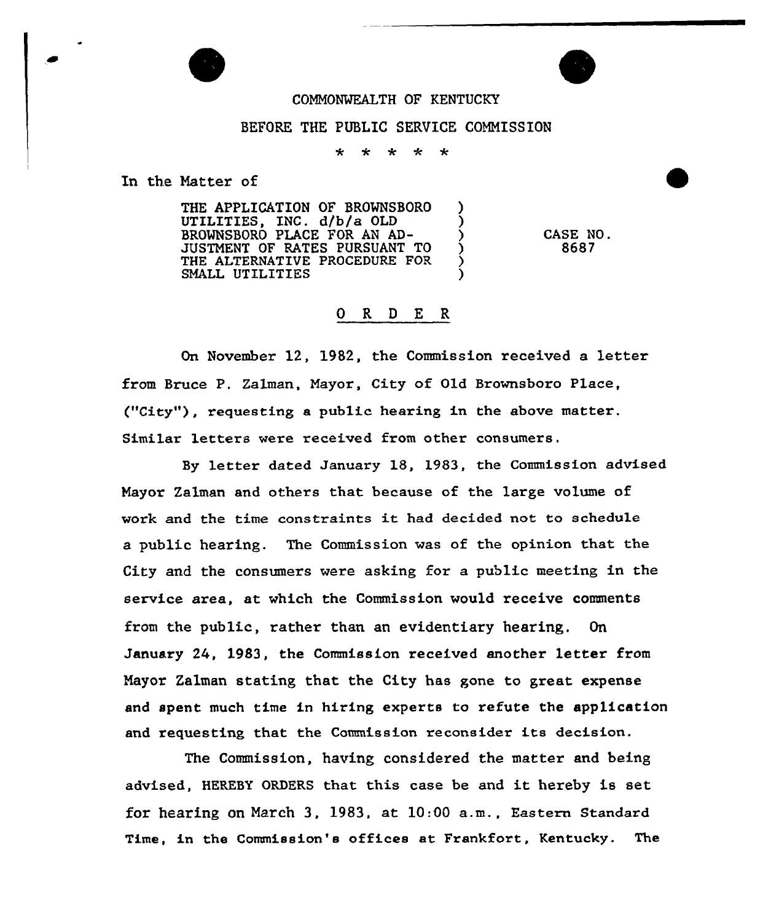## COMMONWEALTH OF KENTUCKY

## BEFORE THE PUBLIC SERVICE COMMISSION

÷ ÷ مله ÷  $\ddot{\textbf{r}}$ 

In the Natter of

THE APPLICATION OF BROWNSBORO ſ, UTILITIES, INC. d/b/a OLD BROWHSBORO PLACE FOR AN AD-JUSTMENT OF RATES PURSUANT TO Ć THE ALTERNATIVE PROCEDURE FOR SMALL UTILITIES

CASE NO. 8687

## 6 R <sup>D</sup> E R

On November 12, 1982, the Commission received a letter from Bruce P. Zalman, Mayor, City of Old Brownsboro Place, ("City"), requesting a public hearing in the above matter. Similar letters were received from other consumers.

letter dated January 18, 1983, the Commission advised Nayor Zalman and others that because of the large volume of work and the time constraints it had decided not to schedule a public hearing. The Commission was of the opinion that the City and the consumers were asking for a public meeting in the service area, at which the Commission would receive comments from the public, rather than an evidentiary hearing. On January 24, 1983, the Commission received another letter from Mayor Zalman stating that the City has gone to great expense and spent much time in hiring experts to refute the application and requesting that the Commission reconsider its decision.

The Commission, having considered the matter and being advised, HEREBY ORDERS that this case be and it hereby is set for hearing on March 3, 1983, at 10:00 a.m., Eastern Standard Time, in the Commission's offices at Frankfort, Kentucky. The